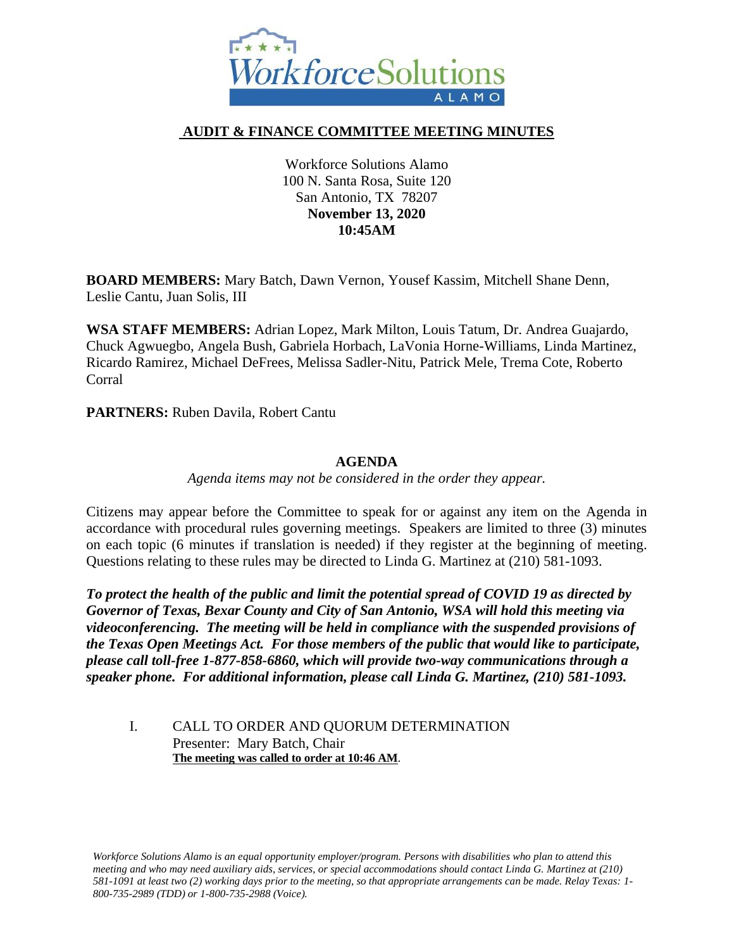

# **AUDIT & FINANCE COMMITTEE MEETING MINUTES**

Workforce Solutions Alamo 100 N. Santa Rosa, Suite 120 San Antonio, TX 78207 **November 13, 2020 10:45AM**

**BOARD MEMBERS:** Mary Batch, Dawn Vernon, Yousef Kassim, Mitchell Shane Denn, Leslie Cantu, Juan Solis, III

**WSA STAFF MEMBERS:** Adrian Lopez, Mark Milton, Louis Tatum, Dr. Andrea Guajardo, Chuck Agwuegbo, Angela Bush, Gabriela Horbach, LaVonia Horne-Williams, Linda Martinez, Ricardo Ramirez, Michael DeFrees, Melissa Sadler-Nitu, Patrick Mele, Trema Cote, Roberto Corral

**PARTNERS:** Ruben Davila, Robert Cantu

## **AGENDA**

*Agenda items may not be considered in the order they appear.*

Citizens may appear before the Committee to speak for or against any item on the Agenda in accordance with procedural rules governing meetings. Speakers are limited to three (3) minutes on each topic (6 minutes if translation is needed) if they register at the beginning of meeting. Questions relating to these rules may be directed to Linda G. Martinez at (210) 581-1093.

*To protect the health of the public and limit the potential spread of COVID 19 as directed by Governor of Texas, Bexar County and City of San Antonio, WSA will hold this meeting via videoconferencing. The meeting will be held in compliance with the suspended provisions of the Texas Open Meetings Act. For those members of the public that would like to participate, please call toll-free 1-877-858-6860, which will provide two-way communications through a speaker phone. For additional information, please call Linda G. Martinez, (210) 581-1093.* 

### I. CALL TO ORDER AND QUORUM DETERMINATION Presenter: Mary Batch, Chair **The meeting was called to order at 10:46 AM**.

*Workforce Solutions Alamo is an equal opportunity employer/program. Persons with disabilities who plan to attend this meeting and who may need auxiliary aids, services, or special accommodations should contact Linda G. Martinez at (210) 581-1091 at least two (2) working days prior to the meeting, so that appropriate arrangements can be made. Relay Texas: 1- 800-735-2989 (TDD) or 1-800-735-2988 (Voice).*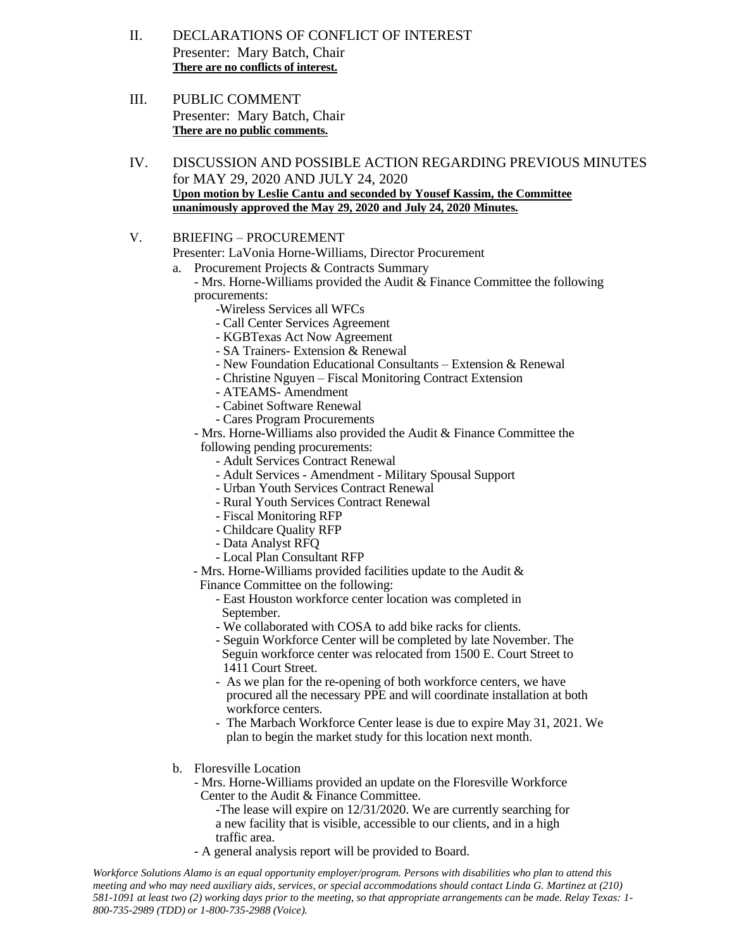- II. DECLARATIONS OF CONFLICT OF INTEREST Presenter: Mary Batch, Chair **There are no conflicts of interest.**
- III. PUBLIC COMMENT Presenter: Mary Batch, Chair **There are no public comments.**
- IV. DISCUSSION AND POSSIBLE ACTION REGARDING PREVIOUS MINUTES for MAY 29, 2020 AND JULY 24, 2020 **Upon motion by Leslie Cantu and seconded by Yousef Kassim, the Committee unanimously approved the May 29, 2020 and July 24, 2020 Minutes.**
- V. BRIEFING PROCUREMENT
	- Presenter: LaVonia Horne-Williams, Director Procurement
	- a. Procurement Projects & Contracts Summary
		- Mrs. Horne-Williams provided the Audit & Finance Committee the following procurements:
			- -Wireless Services all WFCs
				- Call Center Services Agreement
				- KGBTexas Act Now Agreement
				- SA Trainers- Extension & Renewal
				- New Foundation Educational Consultants Extension & Renewal
			- Christine Nguyen Fiscal Monitoring Contract Extension
			- ATEAMS- Amendment
			- Cabinet Software Renewal
			- Cares Program Procurements
		- Mrs. Horne-Williams also provided the Audit & Finance Committee the following pending procurements:
			- Adult Services Contract Renewal
			- Adult Services Amendment Military Spousal Support
			- Urban Youth Services Contract Renewal
			- Rural Youth Services Contract Renewal
			- Fiscal Monitoring RFP
			- Childcare Quality RFP
			- Data Analyst RFQ
			- Local Plan Consultant RFP
		- Mrs. Horne-Williams provided facilities update to the Audit & Finance Committee on the following:
			- East Houston workforce center location was completed in September.
			- We collaborated with COSA to add bike racks for clients.
			- Seguin Workforce Center will be completed by late November. The Seguin workforce center was relocated from 1500 E. Court Street to 1411 Court Street.
			- As we plan for the re-opening of both workforce centers, we have procured all the necessary PPE and will coordinate installation at both workforce centers.
			- The Marbach Workforce Center lease is due to expire May 31, 2021. We plan to begin the market study for this location next month.
	- b. Floresville Location
		- Mrs. Horne-Williams provided an update on the Floresville Workforce Center to the Audit & Finance Committee.
			- -The lease will expire on 12/31/2020. We are currently searching for a new facility that is visible, accessible to our clients, and in a high traffic area.
		- A general analysis report will be provided to Board.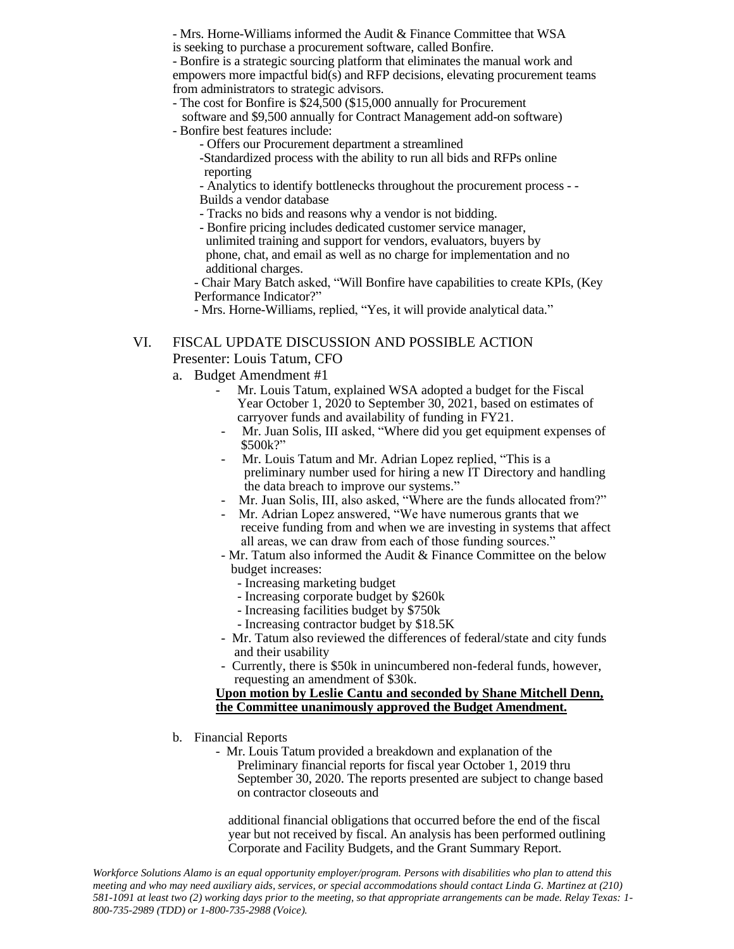- Mrs. Horne-Williams informed the Audit & Finance Committee that WSA is seeking to purchase a procurement software, called Bonfire.

- Bonfire is a strategic sourcing platform that eliminates the manual work and empowers more impactful bid(s) and RFP decisions, elevating procurement teams from administrators to strategic advisors.

- The cost for Bonfire is \$24,500 (\$15,000 annually for Procurement

 software and \$9,500 annually for Contract Management add-on software) - Bonfire best features include:

- Offers our Procurement department a streamlined

-Standardized process with the ability to run all bids and RFPs online reporting

- Analytics to identify bottlenecks throughout the procurement process - - Builds a vendor database

- Tracks no bids and reasons why a vendor is not bidding.
- Bonfire pricing includes dedicated customer service manager, unlimited training and support for vendors, evaluators, buyers by phone, chat, and email as well as no charge for implementation and no additional charges.

- Chair Mary Batch asked, "Will Bonfire have capabilities to create KPIs, (Key Performance Indicator?"

- Mrs. Horne-Williams, replied, "Yes, it will provide analytical data."

#### VI. FISCAL UPDATE DISCUSSION AND POSSIBLE ACTION Presenter: Louis Tatum, CFO

- a. Budget Amendment #1
	- Mr. Louis Tatum, explained WSA adopted a budget for the Fiscal Year October 1, 2020 to September 30, 2021, based on estimates of carryover funds and availability of funding in FY21.
		- Mr. Juan Solis, III asked, "Where did you get equipment expenses of \$500k?"
		- Mr. Louis Tatum and Mr. Adrian Lopez replied, "This is a preliminary number used for hiring a new IT Directory and handling the data breach to improve our systems."
	- Mr. Juan Solis, III, also asked, "Where are the funds allocated from?"
	- Mr. Adrian Lopez answered, "We have numerous grants that we receive funding from and when we are investing in systems that affect all areas, we can draw from each of those funding sources."
	- Mr. Tatum also informed the Audit & Finance Committee on the below budget increases:
		- Increasing marketing budget
		- Increasing corporate budget by \$260k
		- Increasing facilities budget by \$750k
		- Increasing contractor budget by \$18.5K
	- Mr. Tatum also reviewed the differences of federal/state and city funds and their usability
	- Currently, there is \$50k in unincumbered non-federal funds, however, requesting an amendment of \$30k.

#### **Upon motion by Leslie Cantu and seconded by Shane Mitchell Denn, the Committee unanimously approved the Budget Amendment.**

- b. Financial Reports
	- Mr. Louis Tatum provided a breakdown and explanation of the Preliminary financial reports for fiscal year October 1, 2019 thru September 30, 2020. The reports presented are subject to change based on contractor closeouts and

 additional financial obligations that occurred before the end of the fiscal year but not received by fiscal. An analysis has been performed outlining Corporate and Facility Budgets, and the Grant Summary Report.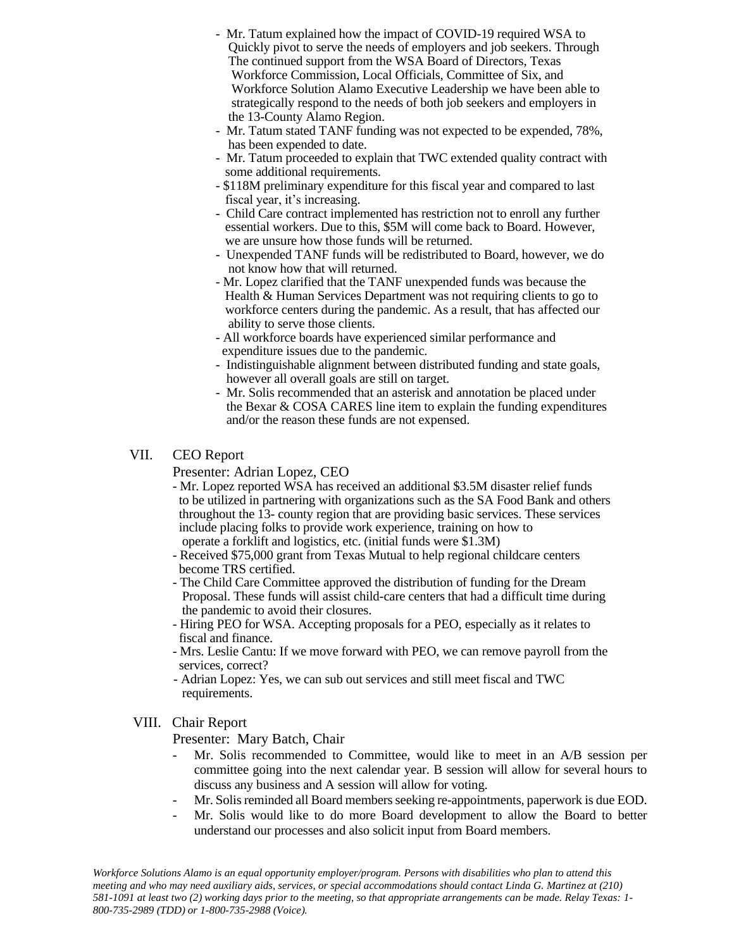- Mr. Tatum explained how the impact of COVID-19 required WSA to Quickly pivot to serve the needs of employers and job seekers. Through The continued support from the WSA Board of Directors, Texas Workforce Commission, Local Officials, Committee of Six, and Workforce Solution Alamo Executive Leadership we have been able to strategically respond to the needs of both job seekers and employers in the 13-County Alamo Region.
- Mr. Tatum stated TANF funding was not expected to be expended, 78%, has been expended to date.
- Mr. Tatum proceeded to explain that TWC extended quality contract with some additional requirements.
- \$118M preliminary expenditure for this fiscal year and compared to last fiscal year, it's increasing.
- Child Care contract implemented has restriction not to enroll any further essential workers. Due to this, \$5M will come back to Board. However, we are unsure how those funds will be returned.
- Unexpended TANF funds will be redistributed to Board, however, we do not know how that will returned.
- Mr. Lopez clarified that the TANF unexpended funds was because the Health & Human Services Department was not requiring clients to go to workforce centers during the pandemic. As a result, that has affected our ability to serve those clients.
- All workforce boards have experienced similar performance and expenditure issues due to the pandemic.
- Indistinguishable alignment between distributed funding and state goals, however all overall goals are still on target.
- Mr. Solis recommended that an asterisk and annotation be placed under the Bexar & COSA CARES line item to explain the funding expenditures and/or the reason these funds are not expensed.

#### VII. CEO Report

Presenter: Adrian Lopez, CEO

- Mr. Lopez reported WSA has received an additional \$3.5M disaster relief funds to be utilized in partnering with organizations such as the SA Food Bank and others throughout the 13- county region that are providing basic services. These services include placing folks to provide work experience, training on how to operate a forklift and logistics, etc. (initial funds were \$1.3M)
- Received \$75,000 grant from Texas Mutual to help regional childcare centers become TRS certified.
- The Child Care Committee approved the distribution of funding for the Dream Proposal. These funds will assist child-care centers that had a difficult time during the pandemic to avoid their closures.
- Hiring PEO for WSA. Accepting proposals for a PEO, especially as it relates to fiscal and finance.
- Mrs. Leslie Cantu: If we move forward with PEO, we can remove payroll from the services, correct?
- Adrian Lopez: Yes, we can sub out services and still meet fiscal and TWC requirements.

## VIII. Chair Report

Presenter: Mary Batch, Chair

- Mr. Solis recommended to Committee, would like to meet in an A/B session per committee going into the next calendar year. B session will allow for several hours to discuss any business and A session will allow for voting.
- Mr. Solis reminded all Board members seeking re-appointments, paperwork is due EOD.
- Mr. Solis would like to do more Board development to allow the Board to better understand our processes and also solicit input from Board members.